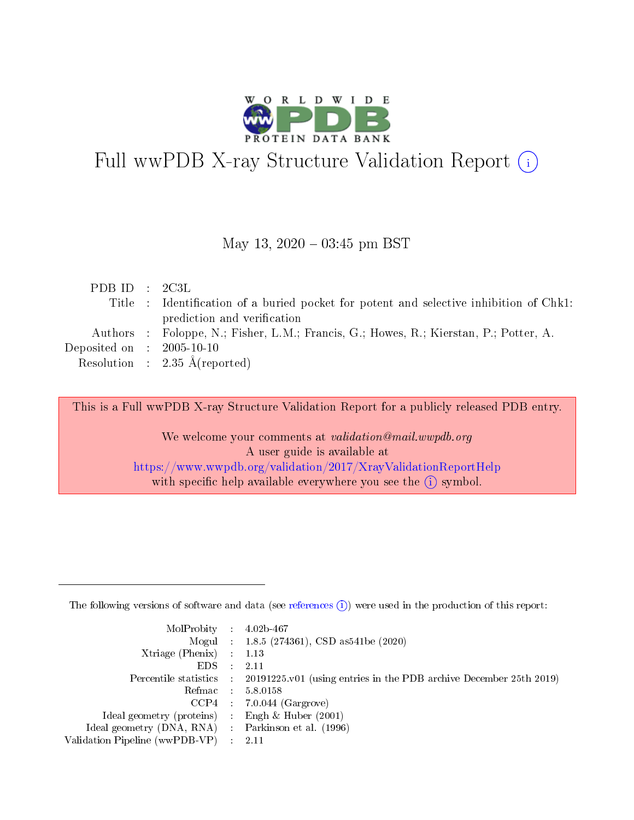

# Full wwPDB X-ray Structure Validation Report (i)

#### May 13,  $2020 - 03:45$  pm BST

| PDB ID : $2C3L$             |                                                                                        |
|-----------------------------|----------------------------------------------------------------------------------------|
|                             | Title : Identification of a buried pocket for potent and selective inhibition of Chk1: |
|                             | prediction and verification                                                            |
|                             | Authors : Foloppe, N.; Fisher, L.M.; Francis, G.; Howes, R.; Kierstan, P.; Potter, A.  |
| Deposited on : $2005-10-10$ |                                                                                        |
|                             | Resolution : $2.35 \text{ Å}$ (reported)                                               |
|                             |                                                                                        |

This is a Full wwPDB X-ray Structure Validation Report for a publicly released PDB entry.

We welcome your comments at validation@mail.wwpdb.org A user guide is available at <https://www.wwpdb.org/validation/2017/XrayValidationReportHelp> with specific help available everywhere you see the  $(i)$  symbol.

The following versions of software and data (see [references](https://www.wwpdb.org/validation/2017/XrayValidationReportHelp#references)  $(1)$ ) were used in the production of this report:

| $MolProbability$ : 4.02b-467                       |               |                                                                                            |
|----------------------------------------------------|---------------|--------------------------------------------------------------------------------------------|
|                                                    |               | Mogul : $1.8.5$ (274361), CSD as 541be (2020)                                              |
| Xtriage (Phenix) $: 1.13$                          |               |                                                                                            |
| EDS.                                               | $\mathcal{L}$ | -2.11                                                                                      |
|                                                    |               | Percentile statistics : 20191225.v01 (using entries in the PDB archive December 25th 2019) |
|                                                    |               | Refmac : 5.8.0158                                                                          |
|                                                    |               | $CCP4$ 7.0.044 (Gargrove)                                                                  |
| Ideal geometry (proteins) : Engh $\&$ Huber (2001) |               |                                                                                            |
| Ideal geometry (DNA, RNA) Parkinson et al. (1996)  |               |                                                                                            |
| Validation Pipeline (wwPDB-VP) : 2.11              |               |                                                                                            |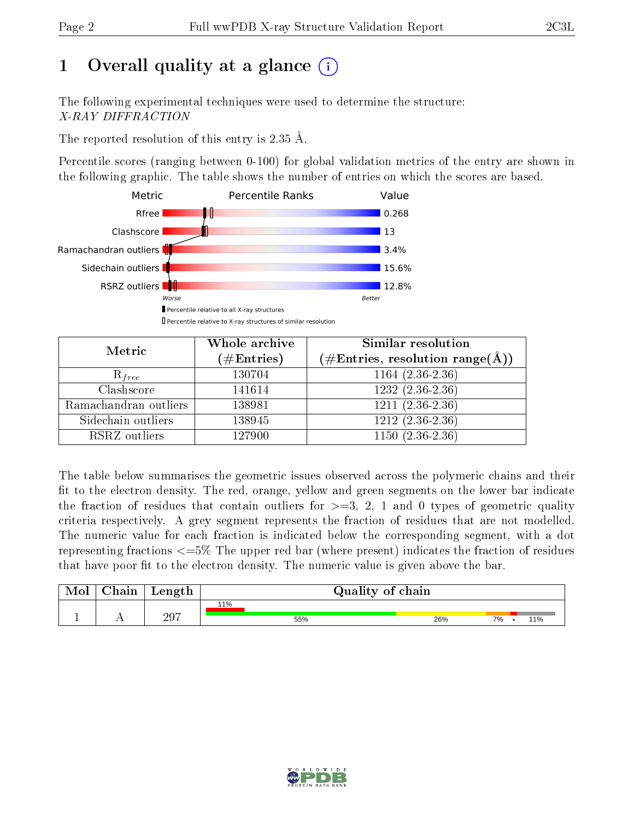# 1 [O](https://www.wwpdb.org/validation/2017/XrayValidationReportHelp#overall_quality)verall quality at a glance  $(i)$

The following experimental techniques were used to determine the structure: X-RAY DIFFRACTION

The reported resolution of this entry is 2.35 Å.

Percentile scores (ranging between 0-100) for global validation metrics of the entry are shown in the following graphic. The table shows the number of entries on which the scores are based.



| Metric                | Whole archive        | Similar resolution                                         |
|-----------------------|----------------------|------------------------------------------------------------|
|                       | $(\#\text{Entries})$ | $(\#\text{Entries}, \text{resolution range}(\text{\AA})\)$ |
| $R_{free}$            | 130704               | $1164(2.36-2.36)$                                          |
| Clashscore            | 141614               | $1232(2.36-2.36)$                                          |
| Ramachandran outliers | 138981               | $1211 (2.36 - 2.36)$                                       |
| Sidechain outliers    | 138945               | $1212(2.36-2.36)$                                          |
| RSRZ outliers         | 127900               | $1150(2.36-2.36)$                                          |

The table below summarises the geometric issues observed across the polymeric chains and their fit to the electron density. The red, orange, yellow and green segments on the lower bar indicate the fraction of residues that contain outliers for  $>=3, 2, 1$  and 0 types of geometric quality criteria respectively. A grey segment represents the fraction of residues that are not modelled. The numeric value for each fraction is indicated below the corresponding segment, with a dot representing fractions  $\epsilon=5\%$  The upper red bar (where present) indicates the fraction of residues that have poor fit to the electron density. The numeric value is given above the bar.

| Mol       | $\alpha$ hain | Length | Quality of chain |     |    |     |
|-----------|---------------|--------|------------------|-----|----|-----|
|           |               |        | 11%              |     |    |     |
| <u>д.</u> | . .           | 297    | 55%              | 26% | 7% | 11% |

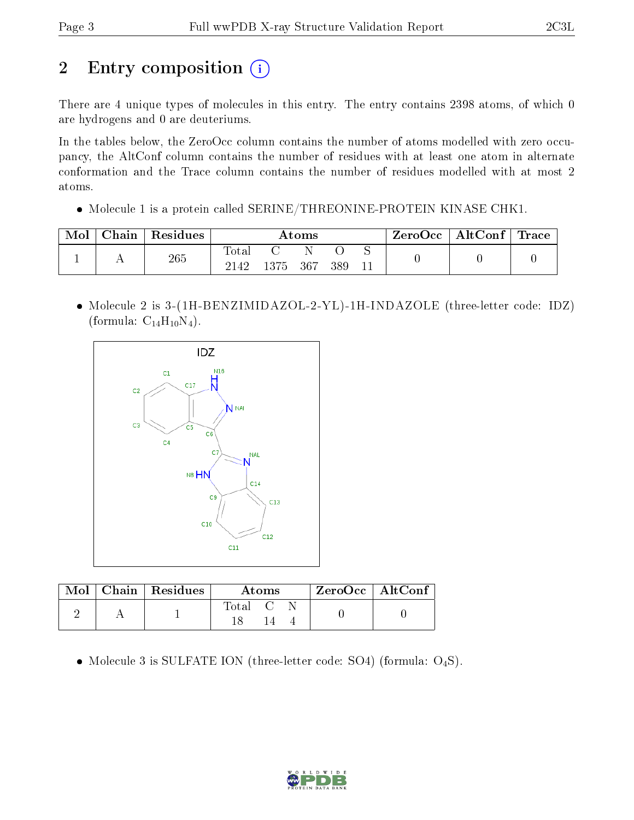# 2 Entry composition (i)

There are 4 unique types of molecules in this entry. The entry contains 2398 atoms, of which 0 are hydrogens and 0 are deuteriums.

In the tables below, the ZeroOcc column contains the number of atoms modelled with zero occupancy, the AltConf column contains the number of residues with at least one atom in alternate conformation and the Trace column contains the number of residues modelled with at most 2 atoms.

• Molecule 1 is a protein called SERINE/THREONINE-PROTEIN KINASE CHK1.

| Mol | ${\rm Chain}$ | Residues | Atoms         |          |  |     | $\mid$ ZeroOcc $\mid$ AltConf $\mid$ Trace $\mid$ |  |  |
|-----|---------------|----------|---------------|----------|--|-----|---------------------------------------------------|--|--|
|     |               | 265      | Total<br>2142 | 1375 367 |  | 389 |                                                   |  |  |

• Molecule 2 is 3-(1H-BENZIMIDAZOL-2-YL)-1H-INDAZOLE (three-letter code: IDZ) (formula:  $C_{14}H_{10}N_4$ ).



|  | $\boxed{\text{Mol}}$ $\boxed{\text{Chain}}$ Residues | Atoms            |  |  | $ZeroOcc$   AltConf |
|--|------------------------------------------------------|------------------|--|--|---------------------|
|  |                                                      | $\mathrm{Total}$ |  |  |                     |

• Molecule 3 is SULFATE ION (three-letter code: SO4) (formula:  $O_4S$ ).

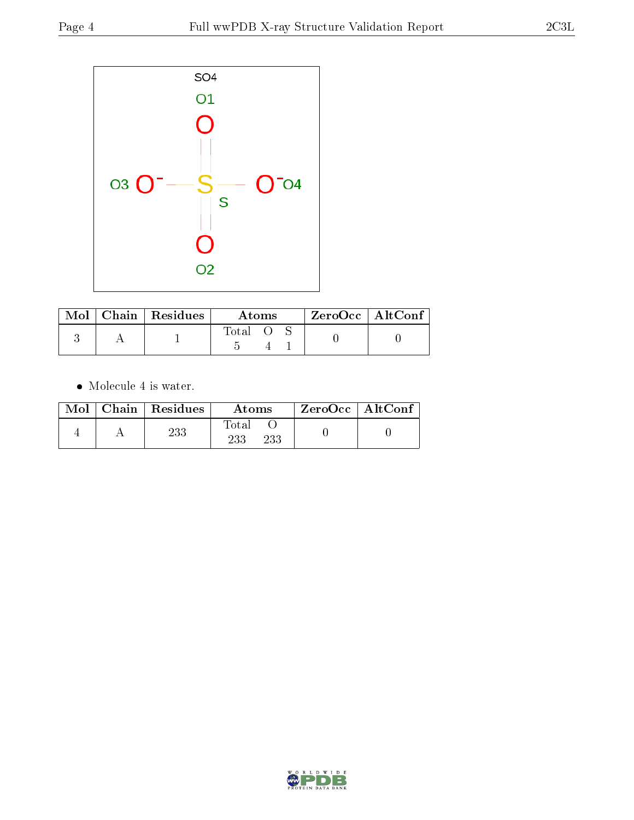

|  | Mol   Chain   Residues | Atoms |  |  | $ZeroOcc$   AltConf |  |
|--|------------------------|-------|--|--|---------------------|--|
|  |                        | Total |  |  |                     |  |

 $\bullet\,$  Molecule 4 is water.

|  | $Mol$   Chain   Residues | Atoms               | $ZeroOcc \   \ AltConf$ |  |
|--|--------------------------|---------------------|-------------------------|--|
|  | 233                      | Total<br>233<br>233 |                         |  |

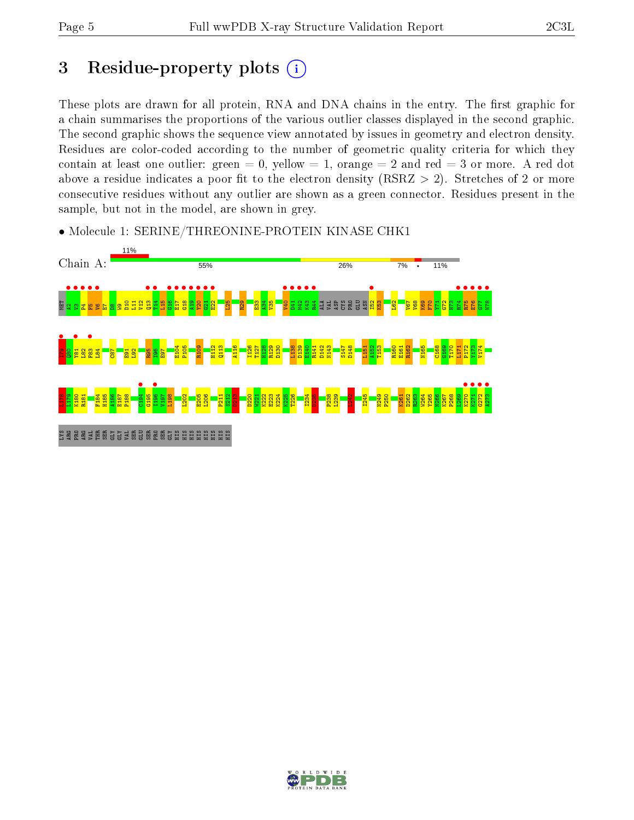# 3 Residue-property plots  $(i)$

These plots are drawn for all protein, RNA and DNA chains in the entry. The first graphic for a chain summarises the proportions of the various outlier classes displayed in the second graphic. The second graphic shows the sequence view annotated by issues in geometry and electron density. Residues are color-coded according to the number of geometric quality criteria for which they contain at least one outlier: green  $= 0$ , yellow  $= 1$ , orange  $= 2$  and red  $= 3$  or more. A red dot above a residue indicates a poor fit to the electron density (RSRZ  $> 2$ ). Stretches of 2 or more consecutive residues without any outlier are shown as a green connector. Residues present in the sample, but not in the model, are shown in grey.



• Molecule 1: SERINE/THREONINE-PROTEIN KINASE CHK1

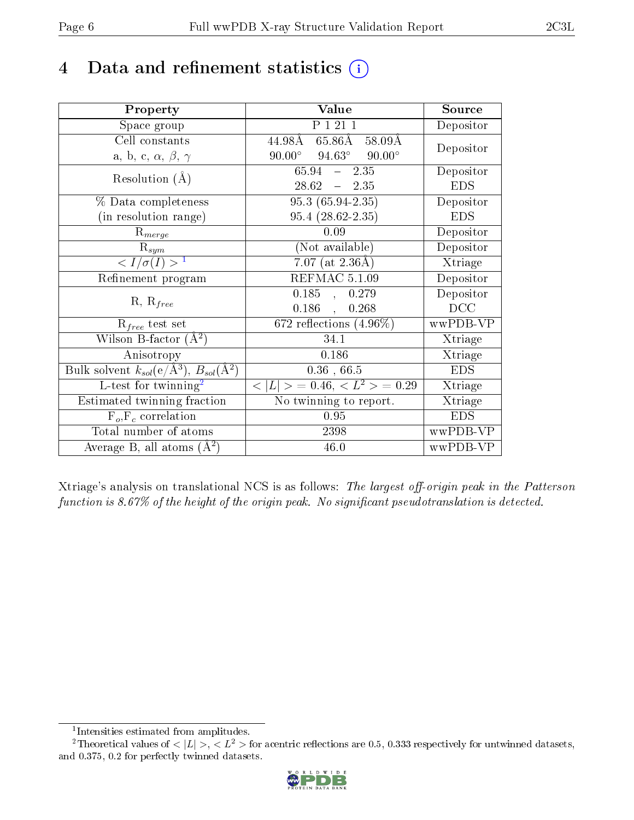# 4 Data and refinement statistics  $(i)$

| Property                                                         | Value                                           | Source     |
|------------------------------------------------------------------|-------------------------------------------------|------------|
| Space group                                                      | P 1 21 1                                        | Depositor  |
| Cell constants                                                   | $65.86\AA$ 58.09Å<br>44.98Å                     | Depositor  |
| a, b, c, $\alpha$ , $\beta$ , $\gamma$                           | $90.00^\circ$<br>$94.63^\circ$<br>$90.00^\circ$ |            |
| Resolution $(A)$                                                 | 65.94<br>$-2.35$                                | Depositor  |
|                                                                  | $28.62 = 2.35$                                  | <b>EDS</b> |
| % Data completeness                                              | $95.3(65.94-2.35)$                              | Depositor  |
| (in resolution range)                                            | $95.4(28.62-2.35)$                              | <b>EDS</b> |
| $R_{merge}$                                                      | 0.09                                            | Depositor  |
| $\mathrm{R}_{sym}$                                               | (Not available)                                 | Depositor  |
| $\langle I/\sigma(I) \rangle^{-1}$                               | $7.07$ (at $2.36\text{\AA})$                    | Xtriage    |
| Refinement program                                               | REFMAC 5.1.09                                   | Depositor  |
|                                                                  | $\overline{0.185}$ ,<br>0.279                   | Depositor  |
| $R, R_{free}$                                                    | $0.186$ ,<br>0.268                              | DCC        |
| $R_{free}$ test set                                              | $672$ reflections $(4.96\%)$                    | wwPDB-VP   |
| Wilson B-factor $(A^2)$                                          | 34.1                                            | Xtriage    |
| Anisotropy                                                       | 0.186                                           | Xtriage    |
| Bulk solvent $k_{sol}(\text{e}/\text{A}^3), B_{sol}(\text{A}^2)$ | $0.36$ , 66.5                                   | <b>EDS</b> |
| L-test for $\mathrm{twinning}^2$                                 | $< L >$ = 0.46, $< L2 >$ = 0.29                 | Xtriage    |
| Estimated twinning fraction                                      | No twinning to report.                          | Xtriage    |
| $F_o, F_c$ correlation                                           | 0.95                                            | <b>EDS</b> |
| Total number of atoms                                            | 2398                                            | wwPDB-VP   |
| Average B, all atoms $(A^2)$                                     | 46.0                                            | wwPDB-VP   |

Xtriage's analysis on translational NCS is as follows: The largest off-origin peak in the Patterson function is  $8.67\%$  of the height of the origin peak. No significant pseudotranslation is detected.

<sup>&</sup>lt;sup>2</sup>Theoretical values of  $\langle |L| \rangle$ ,  $\langle L^2 \rangle$  for acentric reflections are 0.5, 0.333 respectively for untwinned datasets, and 0.375, 0.2 for perfectly twinned datasets.



<span id="page-5-1"></span><span id="page-5-0"></span><sup>1</sup> Intensities estimated from amplitudes.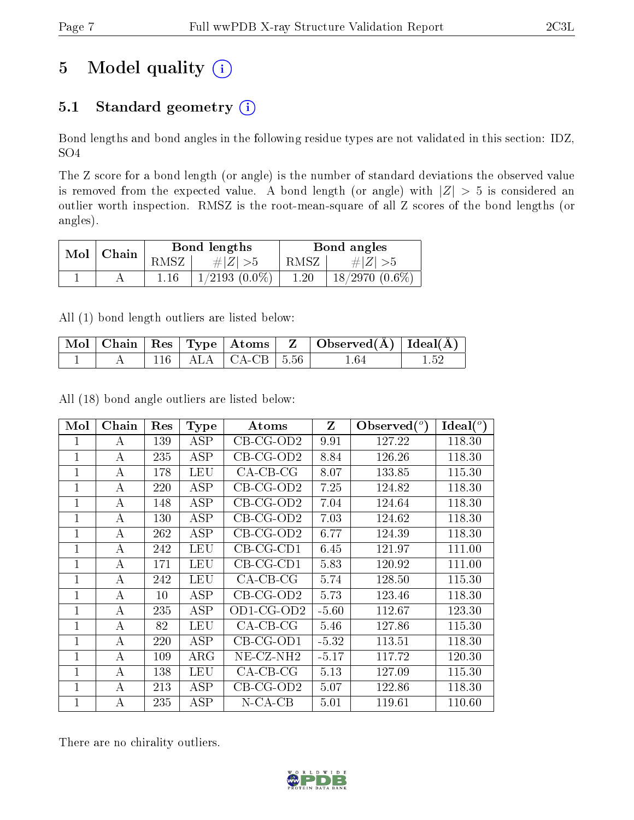# 5 Model quality  $(i)$

## 5.1 Standard geometry  $(i)$

Bond lengths and bond angles in the following residue types are not validated in this section: IDZ, SO4

The Z score for a bond length (or angle) is the number of standard deviations the observed value is removed from the expected value. A bond length (or angle) with  $|Z| > 5$  is considered an outlier worth inspection. RMSZ is the root-mean-square of all Z scores of the bond lengths (or angles).

| Mol | Chain |      | Bond lengths       |          | Bond angles         |
|-----|-------|------|--------------------|----------|---------------------|
|     |       | RMSZ | $\# Z  > 5$        | RMSZ     | $\# Z $             |
|     |       |      | $1/2193$ $(0.0\%)$ | $1.20\,$ | $18/2970$ $(0.6\%)$ |

All (1) bond length outliers are listed below:

|  |  |                                  | $\mid$ Mol $\mid$ Chain $\mid$ Res $\mid$ Type $\mid$ Atoms $\mid$ $\mid$ Z $\mid$ Observed(Å) $\mid$ Ideal(Å) $\mid$ |      |  |
|--|--|----------------------------------|-----------------------------------------------------------------------------------------------------------------------|------|--|
|  |  | $\vert$ 116   ALA   CA-CB   5.56 |                                                                                                                       | 1.64 |  |

All (18) bond angle outliers are listed below:

| Mol            | Chain | $\operatorname{Res}% \left( \mathcal{N}\right) \equiv\operatorname{Res}(\mathcal{N}_{0})\cap\mathcal{N}_{1}$ | <b>Type</b> | Atoms            | $\mathbf{Z}$ | $\lambda$ Observed $(^\circ)$ | Ideal $(^\circ)$ |
|----------------|-------|--------------------------------------------------------------------------------------------------------------|-------------|------------------|--------------|-------------------------------|------------------|
| 1              | A     | 139                                                                                                          | ASP         | $CB-CG-OD2$      | 9.91         | 127.22                        | 118.30           |
| 1              | А     | 235                                                                                                          | <b>ASP</b>  | $CB-CG-OD2$      | 8.84         | 126.26                        | 118.30           |
| $\mathbf{1}$   | А     | 178                                                                                                          | <b>LEU</b>  | $CA-CB-CG$       | 8.07         | 133.85                        | 115.30           |
| 1              | А     | 220                                                                                                          | ASP         | $CB-CG-OD2$      | 7.25         | 124.82                        | 118.30           |
| 1              | А     | 148                                                                                                          | <b>ASP</b>  | $CB-CG-OD2$      | 7.04         | 124.64                        | 118.30           |
| 1              | А     | 130                                                                                                          | <b>ASP</b>  | $CB-CG-OD2$      | 7.03         | 124.62                        | 118.30           |
| 1              | А     | 262                                                                                                          | ASP         | $CB-CG-OD2$      | 6.77         | 124.39                        | 118.30           |
| 1              | А     | 242                                                                                                          | <b>LEU</b>  | $CB-CG-CD1$      | 6.45         | 121.97                        | 111.00           |
| $\mathbf{1}$   | А     | 171                                                                                                          | <b>LEU</b>  | $CB-CG-CD1$      | 5.83         | 120.92                        | 111.00           |
| $\mathbf{1}$   | А     | 242                                                                                                          | <b>LEU</b>  | $CA-CB-CG$       | 5.74         | 128.50                        | 115.30           |
| $\mathbf{1}$   | А     | 10                                                                                                           | <b>ASP</b>  | $CB-CG-OD2$      | 5.73         | 123.46                        | 118.30           |
| $\mathbf{1}$   | А     | 235                                                                                                          | ASP         | $OD1$ -CG- $OD2$ | $-5.60$      | 112.67                        | 123.30           |
| 1              | А     | 82                                                                                                           | LEU         | $CA-CB-CG$       | 5.46         | 127.86                        | 115.30           |
| 1              | А     | 220                                                                                                          | ASP         | $CB-CG-OD1$      | $-5.32$      | 113.51                        | 118.30           |
| 1              | А     | 109                                                                                                          | ARG         | $NE- CZ-NH2$     | $-5.17$      | 117.72                        | 120.30           |
| 1              | А     | 138                                                                                                          | <b>LEU</b>  | $CA-CB-CG$       | 5.13         | 127.09                        | 115.30           |
| 1              | A     | 213                                                                                                          | ASP         | $CB-CG-OD2$      | 5.07         | 122.86                        | 118.30           |
| $\overline{1}$ | А     | 235                                                                                                          | ASP         | $N$ -CA-CB       | 5.01         | 119.61                        | 110.60           |

There are no chirality outliers.

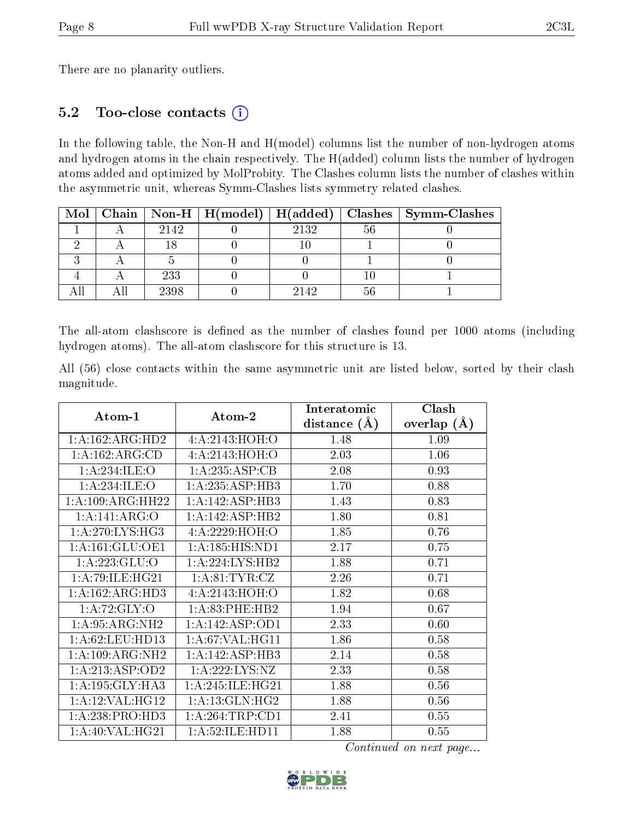There are no planarity outliers.

#### 5.2 Too-close contacts (i)

In the following table, the Non-H and H(model) columns list the number of non-hydrogen atoms and hydrogen atoms in the chain respectively. The H(added) column lists the number of hydrogen atoms added and optimized by MolProbity. The Clashes column lists the number of clashes within the asymmetric unit, whereas Symm-Clashes lists symmetry related clashes.

|  |      |      |    | Mol   Chain   Non-H   H(model)   H(added)   Clashes   Symm-Clashes |
|--|------|------|----|--------------------------------------------------------------------|
|  | 2142 | 2132 | 56 |                                                                    |
|  |      |      |    |                                                                    |
|  |      |      |    |                                                                    |
|  | 233  |      |    |                                                                    |
|  | 2398 | 2142 |    |                                                                    |

The all-atom clashscore is defined as the number of clashes found per 1000 atoms (including hydrogen atoms). The all-atom clashscore for this structure is 13.

All (56) close contacts within the same asymmetric unit are listed below, sorted by their clash magnitude.

| Atom-1                        | Atom-2              | Interatomic    | Clash         |  |
|-------------------------------|---------------------|----------------|---------------|--|
|                               |                     | distance $(A)$ | overlap $(A)$ |  |
| 1: A: 162: ARG: HD2           | 4: A:2143:HOH:O     | 1.48           | 1.09          |  |
| 1:A:162:ARG:CD                | 4:A:2143:HOH:O      | 2.03           | 1.06          |  |
| 1: A:234: ILE: O              | 1: A: 235: ASP: CB  | 2.08           | 0.93          |  |
| 1:A:234:ILE:O                 | 1:A:235:ASP:HB3     | 1.70           | 0.88          |  |
| $1:A:109:A\overline{RG:HH22}$ | 1:A:142:ASP:HB3     | 1.43           | 0.83          |  |
| 1:A:141:ARG:O                 | 1:A:142:ASP:HB2     | 1.80           | 0.81          |  |
| 1: A:270: LYS: HG3            | 4:A:2229:HOH:O      | 1.85           | 0.76          |  |
| 1: A: 161: GLU: OE1           | 1: A: 185: HIS: ND1 | 2.17           | 0.75          |  |
| 1:A:223:GLU:O                 | 1: A:224:LYS:HB2    | 1.88           | 0.71          |  |
| 1: A:79: ILE: HG21            | 1: A:81:TYR:CZ      | 2.26           | 0.71          |  |
| 1:A:162:ARG:HD3               | 4:A:2143:HOH:O      | 1.82           | 0.68          |  |
| 1:A:72:GLY:O                  | 1:A:83:PHE:HB2      | 1.94           | 0.67          |  |
| 1: A:95: ARG: NH2             | 1:A:142:ASP:OD1     | 2.33           | 0.60          |  |
| 1: A:62: LEU: HD13            | 1: A:67: VAL:HGI1   | 1.86           | 0.58          |  |
| 1: A:109: ARG: NH2            | 1:A:142:ASP:HB3     | 2.14           | 0.58          |  |
| 1:A:213:ASP:OD2               | 1:A:222:LYS:NZ      | 2.33           | 0.58          |  |
| 1: A: 195: GLY: HA3           | 1: A:245: ILE: HG21 | 1.88           | 0.56          |  |
| 1:A:12:VAL:HG12               | 1:A:13:GLN:HG2      | 1.88           | 0.56          |  |
| 1:A:238:PRO:HD3               | 1: A:264:TRP:CD1    | 2.41           | 0.55          |  |
| 1: A:40: VAL: HG21            | 1: A:52: ILE: HDI1  | 1.88           | 0.55          |  |

Continued on next page...

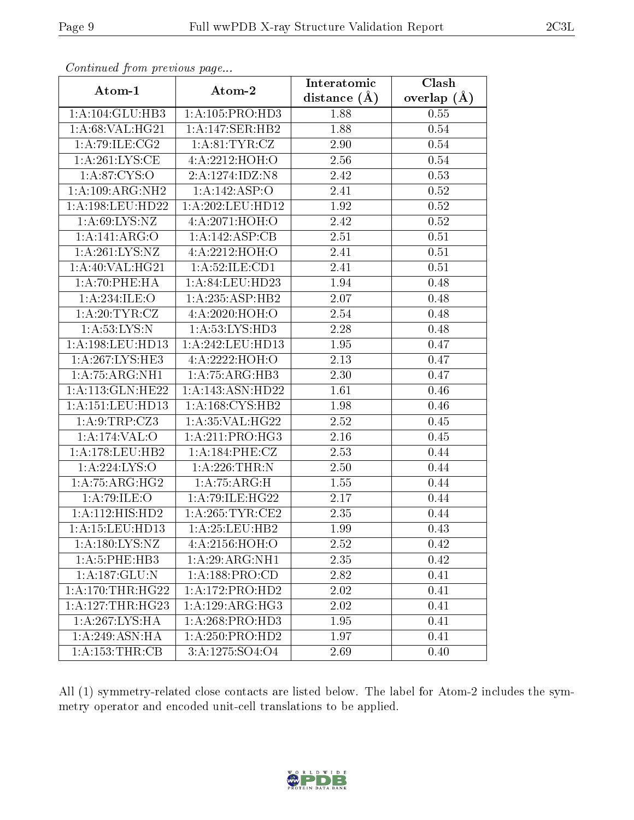| Communica from precious page       |                                           | Interatomic    | Clash             |
|------------------------------------|-------------------------------------------|----------------|-------------------|
| Atom-1                             | Atom-2                                    | distance $(A)$ | overlap $(A)$     |
| 1:A:104:GLU:HB3                    | 1: A: 105: PRO: HD3                       | 1.88           | 0.55              |
| 1: A:68: VAL:HG21                  | 1:A:147:SER:HB2                           | 1.88           | $0.54\,$          |
| 1:A:79:ILE:CG2                     | 1: A:81: TYR: CZ                          | 2.90           | 0.54              |
| $1:A:261:LYS:\overline{\text{CE}}$ | 4:A:2212:HOH:O                            | 2.56           | 0.54              |
| 1: A:87:CYS:O                      | 2:A:1274:IDZ:N8                           | 2.42           | 0.53              |
| 1:A:109:ARG:NH2                    | 1:A:142:ASP:O                             | 2.41           | 0.52              |
| 1:A:198:LEU:HD22                   | 1: A:202:LEU:HD12                         | 1.92           | 0.52              |
| 1: A:69: LYS: NZ                   | 4:A:2071:HOH:O                            | 2.42           | 0.52              |
| 1:A:141:ARG:O                      | 1:A:142:ASP:CB                            | 2.51           | $\overline{0.51}$ |
| 1: A:261:LYS:NZ                    | 4: A: 2212: HOH:O                         | 2.41           | 0.51              |
| 1:A:40:VAL:HG21                    | 1: A:52: ILE: CD1                         | 2.41           | 0.51              |
| 1: A:70:PHE:HA                     | $1:$ A:84:LEU:HD23                        | 1.94           | 0.48              |
| 1:A:234:ILE:O                      | 1:A:235:ASP:HB2                           | 2.07           | 0.48              |
| 1: A:20:TYR:CZ                     | 4:A:2020:HOH:O                            | 2.54           | 0.48              |
| 1: A:53: LYS: N                    | 1: A: 53: LYS: HD3                        | 2.28           | 0.48              |
| 1: A: 198: LEU: HD13               | 1: A:242:LEU:HD13                         | 1.95           | 0.47              |
| 1:A:267:LYS:HE3                    | 4:A:2222:HOH:O                            | 2.13           | 0.47              |
| 1:A:75:ARG:NH1                     | 1:A:75:ARG:HB3                            | 2.30           | 0.47              |
| 1:A:113:GLN:HE22                   | 1:A:143:ASN:HD22                          | 1.61           | 0.46              |
| 1: A:151:LEU:HD13                  | 1: A: 168: CYS: HB2                       | 1.98           | 0.46              |
| 1: A: 9: TRP: CZ3                  | 1: A:35: VAL:HG22                         | 2.52           | 0.45              |
| $1:A:174:\overline{VAL:O}$         | 1: A:211: PRO:HG3                         | 2.16           | 0.45              |
| 1:A:178:LEU:HB2                    | 1: A:184:PHE: CZ                          | 2.53           | 0.44              |
| 1:A:224:LYS:O                      | 1: A:226:THR:N                            | 2.50           | 0.44              |
| 1:A:75:ARG:HG2                     | 1:A:75:ARG:H                              | 1.55           | 0.44              |
| 1: A:79: ILE: O                    | 1:A:79:ILE:HG22                           | 2.17           | 0.44              |
| 1: A: 112: HIS: HD2                | 1: A:265:TYR:CE2                          | 2.35           | 0.44              |
| 1:A:15:LEU:HD13                    | 1:A:25:LEU:HB2                            | 1.99           | 0.43              |
| 1: A: 180: LYS: NZ                 | 4: A:2156: HOH:O                          | 2.52           | 0.42              |
| 1: A:5: PHE:HB3                    | $1:A:29:ARG:\overline{NH1}$               | 2.35           | 0.42              |
| 1:A:187:GLU:N                      | 1: A: 188: PRO:CD                         | 2.82           | 0.41              |
| 1: A:170:THR:HG22                  | 1:A:172:PRO:HD2                           | 2.02           | 0.41              |
| 1:A:127:THR:HG23                   | 1:A:129:ARG:HG3                           | 2.02           | 0.41              |
| 1:A:267:LYS:HA                     | $1:A:268:P\overline{RO:HD3}$              | 1.95           | 0.41              |
| 1: A:249: ASN: HA                  | 1:A:250:PRO:HD2                           | 1.97           | 0.41              |
| 1: A: 153: THR: CB                 | $3: A: 12\overline{75:}S\overline{O4:}O4$ | 2.69           | 0.40              |

Continued from previous page...

All (1) symmetry-related close contacts are listed below. The label for Atom-2 includes the symmetry operator and encoded unit-cell translations to be applied.

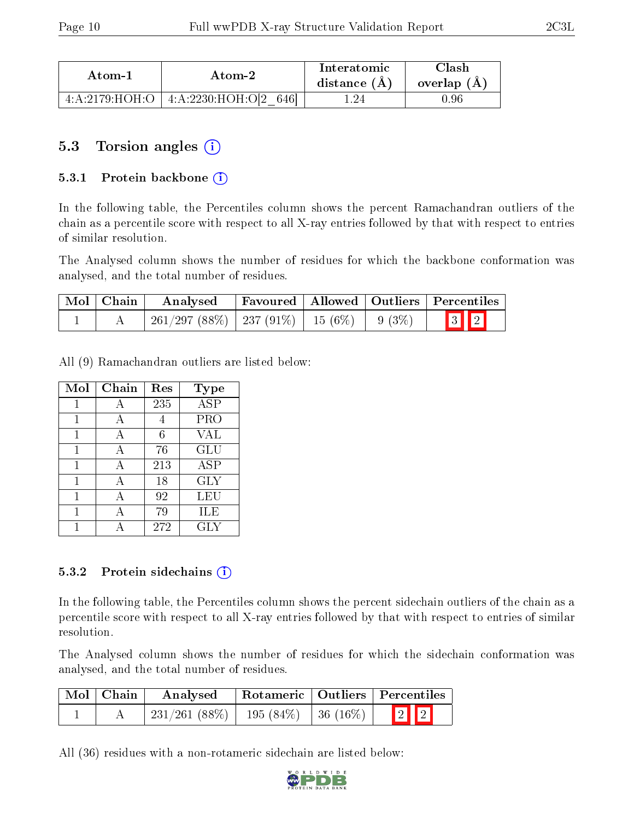| Atom-1                                   | Atom-2                   | Interatomic<br>distance (A) | $\gamma$ lash<br>overlap $(A)$ |
|------------------------------------------|--------------------------|-----------------------------|--------------------------------|
| $4 \cdot A \cdot 2179 \cdot HOH \cdot O$ | 4:A:2230:HOH:O[2]<br>646 | 24                          | 1.96                           |

### 5.3 Torsion angles (i)

#### 5.3.1 Protein backbone  $(i)$

In the following table, the Percentiles column shows the percent Ramachandran outliers of the chain as a percentile score with respect to all X-ray entries followed by that with respect to entries of similar resolution.

The Analysed column shows the number of residues for which the backbone conformation was analysed, and the total number of residues.

| Mol   Chain | $\boldsymbol{\mathrm{Analysed}}$                   |  | Favoured   Allowed   Outliers   Percentiles |
|-------------|----------------------------------------------------|--|---------------------------------------------|
|             | $261/297 (88\%)$   237 (91\%)   15 (6\%)   9 (3\%) |  | $\boxed{3}$ $\boxed{2}$                     |

All (9) Ramachandran outliers are listed below:

| Mol | Chain | Res | <b>Type</b>          |
|-----|-------|-----|----------------------|
|     |       | 235 | <b>ASP</b>           |
|     | А     |     | PRO                  |
| 1   | А     | 6   | VAL                  |
| 1   | А     | 76  | GLU                  |
|     |       | 213 | $\overline{\rm ASP}$ |
|     | А     | 18  | GLY                  |
|     | А     | 92  | LEU                  |
|     | А     | 79  | ILE                  |
|     |       | 272 | GLY                  |

#### 5.3.2 Protein sidechains  $(i)$

In the following table, the Percentiles column shows the percent sidechain outliers of the chain as a percentile score with respect to all X-ray entries followed by that with respect to entries of similar resolution.

The Analysed column shows the number of residues for which the sidechain conformation was analysed, and the total number of residues.

| $\perp$ Mol $\parallel$ Chain | Analysed        | Rotameric   Outliers   Percentiles |  |  |  |
|-------------------------------|-----------------|------------------------------------|--|--|--|
|                               | $231/261(88\%)$ | 195 (84%)   36 (16%)               |  |  |  |

All (36) residues with a non-rotameric sidechain are listed below:

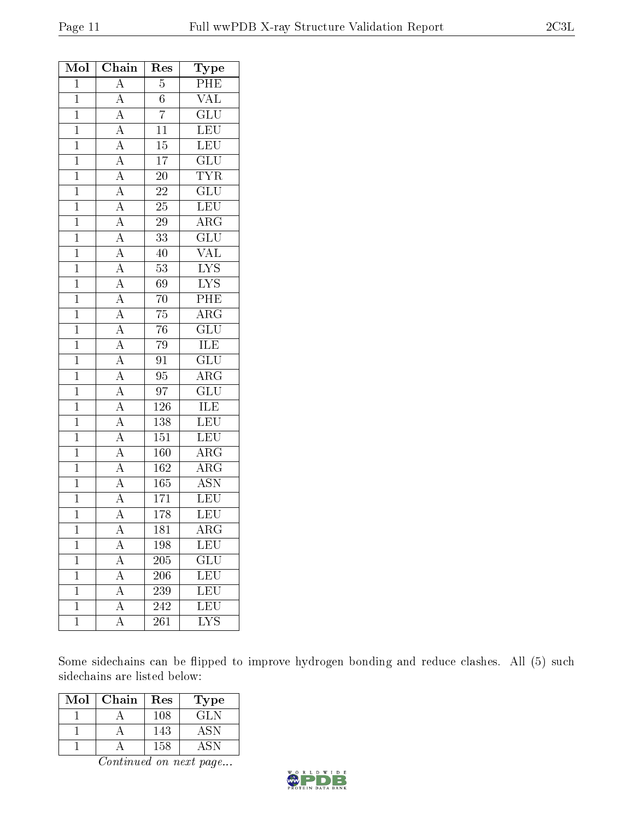| Mol            | Chain                                                                                                                                                                                                                                                                                                                                                                         | Res              | Type                            |
|----------------|-------------------------------------------------------------------------------------------------------------------------------------------------------------------------------------------------------------------------------------------------------------------------------------------------------------------------------------------------------------------------------|------------------|---------------------------------|
| $\mathbf{1}$   | $\overline{A}$                                                                                                                                                                                                                                                                                                                                                                | $\overline{5}$   | PHE                             |
| $\mathbf{1}$   |                                                                                                                                                                                                                                                                                                                                                                               | $\overline{6}$   | <b>VAL</b>                      |
| $\overline{1}$ | $\frac{\overline{A}}{\overline{A}}$                                                                                                                                                                                                                                                                                                                                           | $\overline{7}$   | $\overline{\text{GLU}}$         |
| $\overline{1}$ |                                                                                                                                                                                                                                                                                                                                                                               | $\overline{11}$  | LEU                             |
| $\mathbf{1}$   |                                                                                                                                                                                                                                                                                                                                                                               | $15\,$           | <b>LEU</b>                      |
| $\mathbf{1}$   |                                                                                                                                                                                                                                                                                                                                                                               | $\overline{17}$  | $\overline{\text{GLU}}$         |
| $\overline{1}$ |                                                                                                                                                                                                                                                                                                                                                                               | <b>20</b>        | <b>TYR</b>                      |
| $\overline{1}$ |                                                                                                                                                                                                                                                                                                                                                                               | $\overline{22}$  | $\overline{\text{GLU}}$         |
| $\mathbf{1}$   |                                                                                                                                                                                                                                                                                                                                                                               | $\overline{25}$  | <b>LEU</b>                      |
| $\mathbf{1}$   |                                                                                                                                                                                                                                                                                                                                                                               | $\overline{29}$  | $\overline{\text{ARG}}$         |
| $\overline{1}$ |                                                                                                                                                                                                                                                                                                                                                                               | $\overline{33}$  | $\overline{{\rm GLU}}$          |
| $\overline{1}$ | $\frac{\overline{A}}{\overline{A}}\frac{\overline{A}}{\overline{A}}\frac{\overline{A}}{\overline{A}}\frac{\overline{A}}{\overline{A}}\frac{\overline{A}}{\overline{A}}\frac{\overline{A}}{\overline{A}}\frac{\overline{A}}{\overline{A}}\frac{\overline{A}}{\overline{A}}\frac{\overline{A}}{\overline{A}}\frac{\overline{A}}{\overline{A}}\frac{\overline{A}}{\overline{A}}$ | 40               | $\overline{\text{VAL}}$         |
| $\overline{1}$ |                                                                                                                                                                                                                                                                                                                                                                               | $53\,$           | $\frac{\text{LYS}}{\text{LYS}}$ |
| $\overline{1}$ |                                                                                                                                                                                                                                                                                                                                                                               | 69               |                                 |
| $\mathbf{1}$   |                                                                                                                                                                                                                                                                                                                                                                               | $\overline{70}$  | $\overline{\mathrm{PHE}}$       |
| $\overline{1}$ |                                                                                                                                                                                                                                                                                                                                                                               | $\overline{75}$  | $\overline{\rm ARG}$            |
| $\overline{1}$ |                                                                                                                                                                                                                                                                                                                                                                               | $76\,$           | $\overline{\text{GLU}}$         |
| $\overline{1}$ |                                                                                                                                                                                                                                                                                                                                                                               | $\overline{79}$  | <b>ILE</b>                      |
| $\mathbf{1}$   |                                                                                                                                                                                                                                                                                                                                                                               | 91               | $\overline{\text{GLU}}$         |
| $\mathbf{1}$   |                                                                                                                                                                                                                                                                                                                                                                               | 95               | $\overline{\rm{ARG}}$           |
| $\overline{1}$ |                                                                                                                                                                                                                                                                                                                                                                               | $\overline{97}$  | $\overline{\text{GLU}}$         |
| $\mathbf{1}$   |                                                                                                                                                                                                                                                                                                                                                                               | $126\,$          | <b>ILE</b>                      |
| $\overline{1}$ |                                                                                                                                                                                                                                                                                                                                                                               | $\overline{138}$ | LEU                             |
| $\mathbf{1}$   |                                                                                                                                                                                                                                                                                                                                                                               | 151              | <b>LEU</b>                      |
| $\mathbf{1}$   | $\overline{A}$                                                                                                                                                                                                                                                                                                                                                                | 160              | $\rm{AR}\bar{\rm{G}}$           |
| $\mathbf{1}$   | $\frac{\overline{A}}{\overline{A}}$ $\frac{\overline{A}}{\overline{A}}$                                                                                                                                                                                                                                                                                                       | 162              | $\overline{\rm{ARG}}$           |
| $\overline{1}$ |                                                                                                                                                                                                                                                                                                                                                                               | $165\,$          | $\overline{\mathrm{ASN}}$       |
| $\overline{1}$ |                                                                                                                                                                                                                                                                                                                                                                               | $\overline{171}$ | LEU                             |
| $\mathbf{1}$   |                                                                                                                                                                                                                                                                                                                                                                               | 178              | LEU                             |
| $\overline{1}$ | $\overline{A}$                                                                                                                                                                                                                                                                                                                                                                | $\overline{181}$ | $\overline{\rm ARG}$            |
| $\mathbf{1}$   | $\overline{\rm A}$                                                                                                                                                                                                                                                                                                                                                            | 198              | <b>LEU</b>                      |
| $\mathbf{1}$   | A                                                                                                                                                                                                                                                                                                                                                                             | 205              | $\widetilde{{\rm GLU}}$         |
| $\mathbf{1}$   | $\overline{A}$                                                                                                                                                                                                                                                                                                                                                                | $\,206$          | <b>LEU</b>                      |
| $\mathbf{1}$   | $\overline{A}$                                                                                                                                                                                                                                                                                                                                                                | 239              | LEU                             |
| $\mathbf 1$    | $\overline{A}$                                                                                                                                                                                                                                                                                                                                                                | $\overline{242}$ | $\overline{\text{LEU}}$         |
| $\mathbf{1}$   | $\rm A$                                                                                                                                                                                                                                                                                                                                                                       | 261              | $\overline{\text{LYS}}$         |

Some sidechains can be flipped to improve hydrogen bonding and reduce clashes. All (5) such sidechains are listed below:

| Mol | Chain | Res | Type |
|-----|-------|-----|------|
|     |       | 108 | GL N |
|     |       | 143 | ASN. |
|     |       | 158 |      |

Continued on next page...

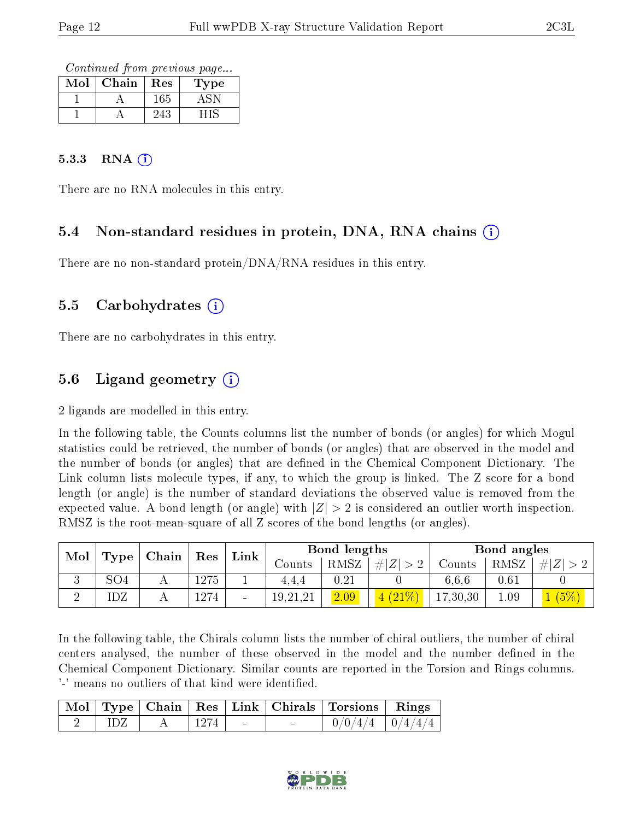Continued from previous page...

| Mol | Chain | Res  | Type  |
|-----|-------|------|-------|
|     |       | 165  |       |
|     |       | 243. | 1 I C |

#### 5.3.3 RNA  $(i)$

There are no RNA molecules in this entry.

### 5.4 Non-standard residues in protein, DNA, RNA chains (i)

There are no non-standard protein/DNA/RNA residues in this entry.

#### 5.5 Carbohydrates (i)

There are no carbohydrates in this entry.

### 5.6 Ligand geometry (i)

2 ligands are modelled in this entry.

In the following table, the Counts columns list the number of bonds (or angles) for which Mogul statistics could be retrieved, the number of bonds (or angles) that are observed in the model and the number of bonds (or angles) that are dened in the Chemical Component Dictionary. The Link column lists molecule types, if any, to which the group is linked. The Z score for a bond length (or angle) is the number of standard deviations the observed value is removed from the expected value. A bond length (or angle) with  $|Z| > 2$  is considered an outlier worth inspection. RMSZ is the root-mean-square of all Z scores of the bond lengths (or angles).

| Mol  |     | $\blacksquare$ Chain $\blacksquare$ | $\operatorname{Res}$ | Link                     | Bond lengths |          |        | Bond angles |      |  |
|------|-----|-------------------------------------|----------------------|--------------------------|--------------|----------|--------|-------------|------|--|
| Type |     |                                     |                      | Jounts .                 | RMSZ         | $\# Z $  | Counts | RMSZ        |      |  |
|      | SO4 |                                     | 275                  |                          | 4.4.4        | $0.21\,$ |        | 6.6.6       | 0.61 |  |
|      | IDZ |                                     | 1274                 | $\overline{\phantom{a}}$ | 19,21,21     | 2.09     |        | 17,30,30    | 1.09 |  |

In the following table, the Chirals column lists the number of chiral outliers, the number of chiral centers analysed, the number of these observed in the model and the number defined in the Chemical Component Dictionary. Similar counts are reported in the Torsion and Rings columns. '-' means no outliers of that kind were identified.

|  |  |        | Mol   Type   Chain   Res   Link   Chirals   Torsions   Rings |  |
|--|--|--------|--------------------------------------------------------------|--|
|  |  | $\sim$ | $0/0/4/4$   $0/4/4/4$                                        |  |

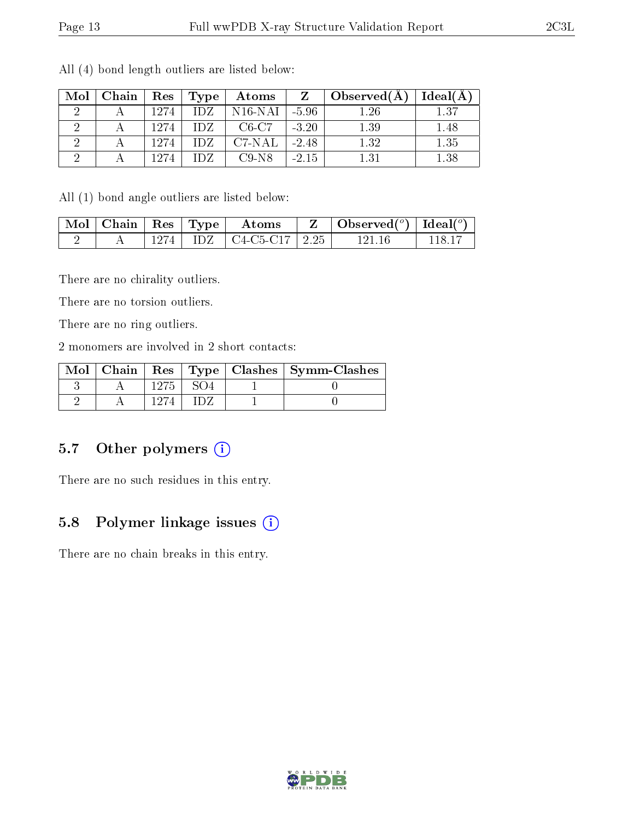| Mol                  | Chain |      | Res   Type | Atoms     | $Z -$   | $\Delta$ Observed $(A)$ | Ideal(A) |
|----------------------|-------|------|------------|-----------|---------|-------------------------|----------|
| ٠,                   |       | 1274 | IDZ.       | $N16-NAI$ | $-5.96$ | 1.26                    | 1.37     |
| ٠,                   |       | 1274 | TDZ.       | $C6-C7$   | $-3.20$ | 1.39                    | 1.48     |
| $\ddot{\phantom{0}}$ |       | 1274 | TDZ.       | C7-NAL    | $-2.48$ | 1.32                    | 1.35     |
|                      |       | 1274 | TDZ.       | $C9-N8$   | $-2.15$ | 1.31                    | 1.38     |

All (4) bond length outliers are listed below:

All (1) bond angle outliers are listed below:

|  |  | $\lceil \overline{\text{Mol}} \rceil$ Chain $\lceil \text{Res} \rceil$ Type $\lceil \text{~Atoms} \rceil$ | $Z \parallel$ Observed( <sup>o</sup> )   Ideal( <sup>o</sup> ) |        |
|--|--|-----------------------------------------------------------------------------------------------------------|----------------------------------------------------------------|--------|
|  |  | $1274$   IDZ   C4-C5-C17   2.25                                                                           | -121-16                                                        | 118 17 |

There are no chirality outliers.

There are no torsion outliers.

There are no ring outliers.

2 monomers are involved in 2 short contacts:

|  |  | Mol   Chain   Res   Type   Clashes   Symm-Clashes |
|--|--|---------------------------------------------------|
|  |  |                                                   |
|  |  |                                                   |

### 5.7 [O](https://www.wwpdb.org/validation/2017/XrayValidationReportHelp#nonstandard_residues_and_ligands)ther polymers (i)

There are no such residues in this entry.

### 5.8 Polymer linkage issues (i)

There are no chain breaks in this entry.

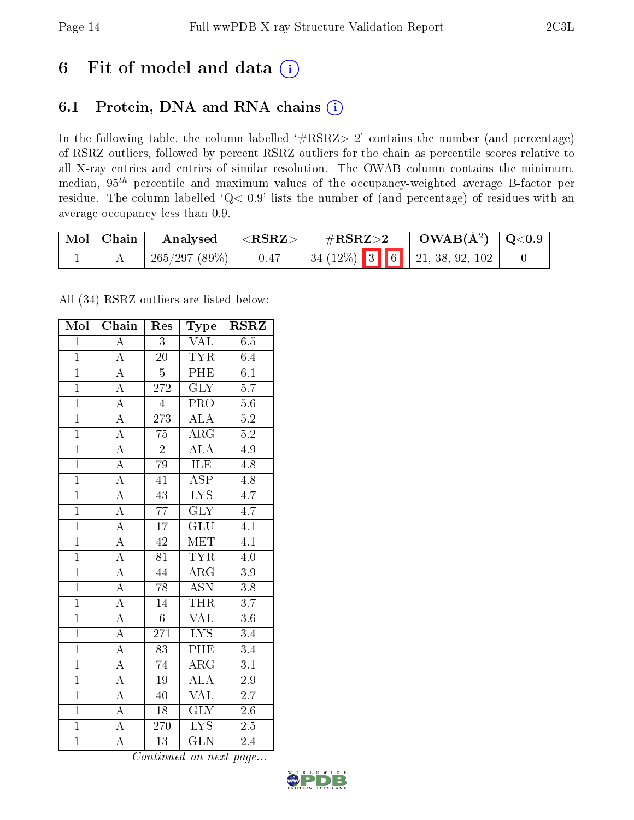# 6 Fit of model and data  $(i)$

## 6.1 Protein, DNA and RNA chains  $(i)$

In the following table, the column labelled  $#RSRZ> 2'$  contains the number (and percentage) of RSRZ outliers, followed by percent RSRZ outliers for the chain as percentile scores relative to all X-ray entries and entries of similar resolution. The OWAB column contains the minimum, median,  $95<sup>th</sup>$  percentile and maximum values of the occupancy-weighted average B-factor per residue. The column labelled ' $Q< 0.9$ ' lists the number of (and percentage) of residues with an average occupancy less than 0.9.

| Mol   Chain | Analysed     | $<$ RSRZ $>$ | $\#\text{RSRZ}\text{>2}$ |  | $\rm OWAB(\AA^2)$   Q<0.9                                                            |  |
|-------------|--------------|--------------|--------------------------|--|--------------------------------------------------------------------------------------|--|
|             | 265/297(89%) | 0.47         |                          |  | $\begin{array}{ c c c c c c c c } \hline 3 & 6 & 21, 38, 92, 102 \hline \end{array}$ |  |

All (34) RSRZ outliers are listed below:

| Mol            | Chain                   | Res              | Type                    | $\rm \bf RSRZ$   |
|----------------|-------------------------|------------------|-------------------------|------------------|
| $\mathbf{1}$   | $\overline{\rm A}$      | 3                | <b>VAL</b>              | 6.5              |
| $\mathbf{1}$   | $\overline{A}$          | $20^{-}$         | $T\overline{YR}$        | 6.4              |
| $\overline{1}$ | $\overline{A}$          | $\overline{5}$   | PHE                     | $\overline{6.1}$ |
| $\overline{1}$ | $\overline{A}$          | $\overline{272}$ | $\overline{\text{GLY}}$ | $\overline{5.7}$ |
| $\overline{1}$ | $\overline{\rm A}$      | $\overline{4}$   | $\overline{\text{PRO}}$ | $\overline{5.6}$ |
| $\overline{1}$ | $\overline{\rm A}$      | 273              | $\overline{ALA}$        | $\overline{5.2}$ |
| $\overline{1}$ | $\overline{\mathbf{A}}$ | $\overline{75}$  | $\overline{\rm{ARG}}$   | $\overline{5.2}$ |
| $\overline{1}$ | $\overline{A}$          | $\overline{2}$   | $\overline{\rm ALA}$    | 4.9              |
| $\mathbf{1}$   | $\overline{\rm A}$      | 79               | <b>ILE</b>              | 4.8              |
| $\overline{1}$ | $\overline{A}$          | $\overline{41}$  | $\overline{\text{ASP}}$ | 4.8              |
| $\overline{1}$ | $\overline{\rm A}$      | $\overline{43}$  | $\overline{\text{LYS}}$ | 4.7              |
| $\overline{1}$ | $\overline{A}$          | $\overline{77}$  | $\overline{\text{GLY}}$ | $\overline{4.7}$ |
| $\overline{1}$ | $\overline{\rm A}$      | $\overline{17}$  | GLU                     | 4.1              |
| $\overline{1}$ | $\overline{A}$          | $\overline{42}$  | <b>MET</b>              | $\overline{4.1}$ |
| $\overline{1}$ | $\overline{\rm A}$      | $\overline{81}$  | <b>TYR</b>              | $\overline{4.0}$ |
| $\overline{1}$ | $\overline{A}$          | 44               | $\rm{ARG}$              | 3.9              |
| $\overline{1}$ | $\overline{\rm A}$      | $\overline{78}$  | <b>ASN</b>              | $\overline{3.8}$ |
| $\overline{1}$ | $\overline{\rm A}$      | 14               | <b>THR</b>              | $\overline{3.7}$ |
| $\overline{1}$ | $\overline{A}$          | $\overline{6}$   | <b>VAL</b>              | $\overline{3.6}$ |
| $\overline{1}$ | $\overline{\rm A}$      | 271              | IYS                     | $\overline{3.4}$ |
| $\overline{1}$ | $\overline{\rm A}$      | $\overline{83}$  | PHE                     | $\overline{3.4}$ |
| $\overline{1}$ | $\overline{A}$          | 74               | $\overline{\text{ARG}}$ | $\overline{3.1}$ |
| $\overline{1}$ | $\overline{\rm A}$      | $\overline{19}$  | $\overline{\rm ALA}$    | $2.9\,$          |
| $\overline{1}$ | $\overline{A}$          | 40               | $\overline{\text{VAL}}$ | $\overline{2.7}$ |
| $\overline{1}$ | $\overline{A}$          | $\overline{18}$  | $\overline{\text{GLY}}$ | $2.6\,$          |
| $\overline{1}$ | A                       | 270              | $L\overline{YS}$        | $2.5\,$          |
| $\overline{1}$ | $\overline{\rm A}$      | $\overline{13}$  | $\overline{\text{GLN}}$ | 2.4              |

Continued on next page...